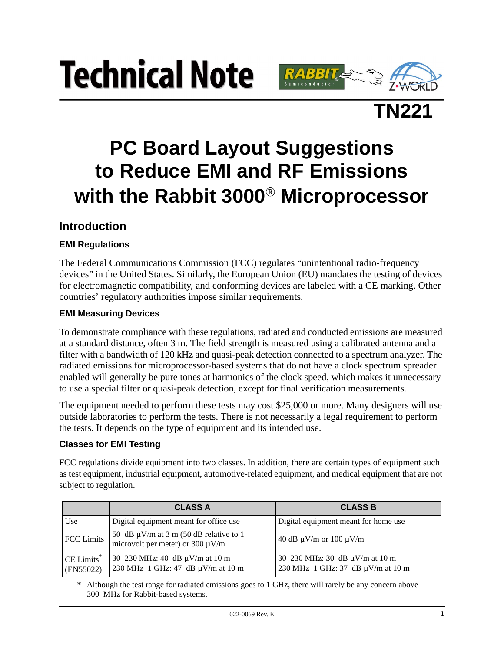# **Technical Note**





# **PC Board Layout Suggestions to Reduce EMI and RF Emissions with the Rabbit 3000**® **Microprocessor**

## **Introduction**

#### **EMI Regulations**

The Federal Communications Commission (FCC) regulates "unintentional radio-frequency devices" in the United States. Similarly, the European Union (EU) mandates the testing of devices for electromagnetic compatibility, and conforming devices are labeled with a CE marking. Other countries' regulatory authorities impose similar requirements.

#### **EMI Measuring Devices**

To demonstrate compliance with these regulations, radiated and conducted emissions are measured at a standard distance, often 3 m. The field strength is measured using a calibrated antenna and a filter with a bandwidth of 120 kHz and quasi-peak detection connected to a spectrum analyzer. The radiated emissions for microprocessor-based systems that do not have a clock spectrum spreader enabled will generally be pure tones at harmonics of the clock speed, which makes it unnecessary to use a special filter or quasi-peak detection, except for final verification measurements.

The equipment needed to perform these tests may cost \$25,000 or more. Many designers will use outside laboratories to perform the tests. There is not necessarily a legal requirement to perform the tests. It depends on the type of equipment and its intended use.

#### **Classes for EMI Testing**

FCC regulations divide equipment into two classes. In addition, there are certain types of equipment such as test equipment, industrial equipment, automotive-related equipment, and medical equipment that are not subject to regulation.

|                                     | <b>CLASS A</b>                                                                       | <b>CLASS B</b>                                                           |
|-------------------------------------|--------------------------------------------------------------------------------------|--------------------------------------------------------------------------|
| Use                                 | Digital equipment meant for office use                                               | Digital equipment meant for home use                                     |
| <b>FCC</b> Limits                   | 50 dB $\mu$ V/m at 3 m (50 dB relative to 1<br>microvolt per meter) or $300 \mu V/m$ | 40 dB $\mu$ V/m or 100 $\mu$ V/m                                         |
| CE Limits <sup>*</sup><br>(EN55022) | 30–230 MHz: 40 dB $\mu$ V/m at 10 m<br>230 MHz-1 GHz: 47 dB µV/m at 10 m             | 30–230 MHz: 30 dB $\mu$ V/m at 10 m<br>230 MHz-1 GHz: 37 dB µV/m at 10 m |

\* Although the test range for radiated emissions goes to 1 GHz, there will rarely be any concern above 300 MHz for Rabbit-based systems.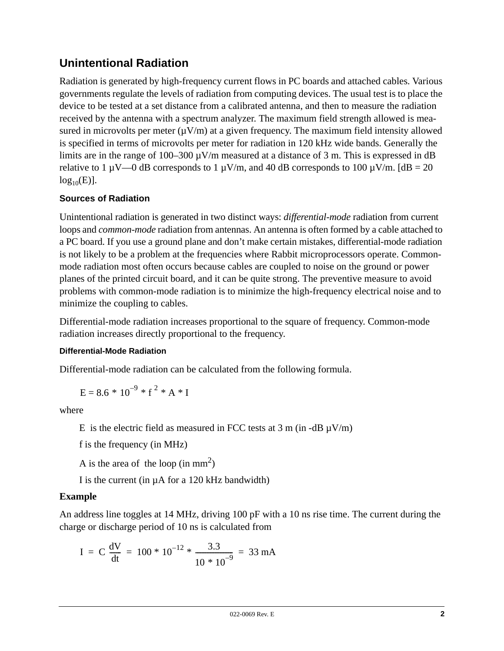# **Unintentional Radiation**

Radiation is generated by high-frequency current flows in PC boards and attached cables. Various governments regulate the levels of radiation from computing devices. The usual test is to place the device to be tested at a set distance from a calibrated antenna, and then to measure the radiation received by the antenna with a spectrum analyzer. The maximum field strength allowed is measured in microvolts per meter  $(\mu V/m)$  at a given frequency. The maximum field intensity allowed is specified in terms of microvolts per meter for radiation in 120 kHz wide bands. Generally the limits are in the range of  $100-300 \mu V/m$  measured at a distance of 3 m. This is expressed in dB relative to 1  $\mu$ V—0 dB corresponds to 1  $\mu$ V/m, and 40 dB corresponds to 100  $\mu$ V/m. [dB = 20  $log_{10}(E)$ ].

#### **Sources of Radiation**

Unintentional radiation is generated in two distinct ways: *differential-mode* radiation from current loops and *common-mode* radiation from antennas. An antenna is often formed by a cable attached to a PC board. If you use a ground plane and don't make certain mistakes, differential-mode radiation is not likely to be a problem at the frequencies where Rabbit microprocessors operate. Commonmode radiation most often occurs because cables are coupled to noise on the ground or power planes of the printed circuit board, and it can be quite strong. The preventive measure to avoid problems with common-mode radiation is to minimize the high-frequency electrical noise and to minimize the coupling to cables.

Differential-mode radiation increases proportional to the square of frequency. Common-mode radiation increases directly proportional to the frequency.

#### **Differential-Mode Radiation**

Differential-mode radiation can be calculated from the following formula.

$$
E = 8.6 * 10^{-9} * f^{2} * A * I
$$

where

E is the electric field as measured in FCC tests at  $3 \text{ m (in -dB } \mu \text{V/m})$ 

f is the frequency (in MHz)

A is the area of the loop (in  $mm<sup>2</sup>$ )

I is the current (in µA for a 120 kHz bandwidth)

#### **Example**

An address line toggles at 14 MHz, driving 100 pF with a 10 ns rise time. The current during the charge or discharge period of 10 ns is calculated from

$$
I = C \frac{dV}{dt} = 100 * 10^{-12} * \frac{3.3}{10 * 10^{-9}} = 33 mA
$$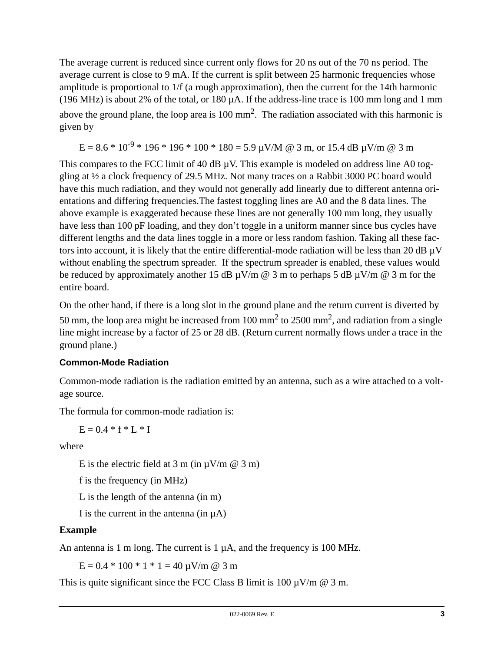The average current is reduced since current only flows for 20 ns out of the 70 ns period. The average current is close to 9 mA. If the current is split between 25 harmonic frequencies whose amplitude is proportional to 1/f (a rough approximation), then the current for the 14th harmonic (196 MHz) is about 2% of the total, or 180 µA. If the address-line trace is 100 mm long and 1 mm above the ground plane, the loop area is  $100 \text{ mm}^2$ . The radiation associated with this harmonic is given by

 $E = 8.6 * 10^{-9} * 196 * 196 * 100 * 180 = 5.9 \text{ }\mu\text{V/M} \text{ } @3 \text{ m, or } 15.4 \text{ dB } \mu\text{V/m } @3 \text{ m}$ 

This compares to the FCC limit of 40 dB  $\mu$ V. This example is modeled on address line A0 toggling at ½ a clock frequency of 29.5 MHz. Not many traces on a Rabbit 3000 PC board would have this much radiation, and they would not generally add linearly due to different antenna orientations and differing frequencies.The fastest toggling lines are A0 and the 8 data lines. The above example is exaggerated because these lines are not generally 100 mm long, they usually have less than 100 pF loading, and they don't toggle in a uniform manner since bus cycles have different lengths and the data lines toggle in a more or less random fashion. Taking all these factors into account, it is likely that the entire differential-mode radiation will be less than 20 dB µV without enabling the spectrum spreader. If the spectrum spreader is enabled, these values would be reduced by approximately another 15 dB  $\mu$ V/m @ 3 m to perhaps 5 dB  $\mu$ V/m @ 3 m for the entire board.

On the other hand, if there is a long slot in the ground plane and the return current is diverted by

50 mm, the loop area might be increased from 100 mm<sup>2</sup> to 2500 mm<sup>2</sup>, and radiation from a single line might increase by a factor of 25 or 28 dB. (Return current normally flows under a trace in the ground plane.)

#### **Common-Mode Radiation**

Common-mode radiation is the radiation emitted by an antenna, such as a wire attached to a voltage source.

The formula for common-mode radiation is:

 $E = 0.4 * f * L * I$ 

where

E is the electric field at 3 m (in  $\mu$ V/m @ 3 m)

f is the frequency (in MHz)

L is the length of the antenna (in m)

I is the current in the antenna (in  $\mu$ A)

#### **Example**

An antenna is 1 m long. The current is 1  $\mu$ A, and the frequency is 100 MHz.

 $E = 0.4 * 100 * 1 * 1 = 40 \mu V/m$  @ 3 m

This is quite significant since the FCC Class B limit is 100  $\mu$ V/m  $\omega$  3 m.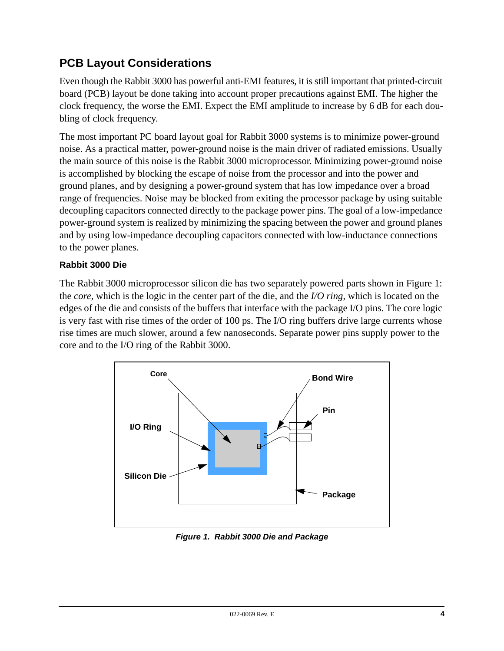# **PCB Layout Considerations**

Even though the Rabbit 3000 has powerful anti-EMI features, it is still important that printed-circuit board (PCB) layout be done taking into account proper precautions against EMI. The higher the clock frequency, the worse the EMI. Expect the EMI amplitude to increase by 6 dB for each doubling of clock frequency.

The most important PC board layout goal for Rabbit 3000 systems is to minimize power-ground noise. As a practical matter, power-ground noise is the main driver of radiated emissions. Usually the main source of this noise is the Rabbit 3000 microprocessor. Minimizing power-ground noise is accomplished by blocking the escape of noise from the processor and into the power and ground planes, and by designing a power-ground system that has low impedance over a broad range of frequencies. Noise may be blocked from exiting the processor package by using suitable decoupling capacitors connected directly to the package power pins. The goal of a low-impedance power-ground system is realized by minimizing the spacing between the power and ground planes and by using low-impedance decoupling capacitors connected with low-inductance connections to the power planes.

#### **Rabbit 3000 Die**

The Rabbit 3000 microprocessor silicon die has two separately powered parts shown in [Figure 1](#page-3-0): the *core*, which is the logic in the center part of the die, and the *I/O ring*, which is located on the edges of the die and consists of the buffers that interface with the package I/O pins. The core logic is very fast with rise times of the order of 100 ps. The I/O ring buffers drive large currents whose rise times are much slower, around a few nanoseconds. Separate power pins supply power to the core and to the I/O ring of the Rabbit 3000.



<span id="page-3-0"></span>*Figure 1. Rabbit 3000 Die and Package*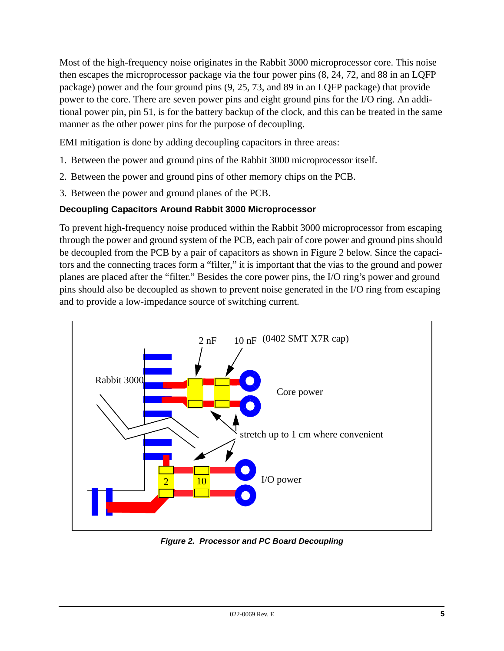Most of the high-frequency noise originates in the Rabbit 3000 microprocessor core. This noise then escapes the microprocessor package via the four power pins (8, 24, 72, and 88 in an LQFP package) power and the four ground pins (9, 25, 73, and 89 in an LQFP package) that provide power to the core. There are seven power pins and eight ground pins for the I/O ring. An additional power pin, pin 51, is for the battery backup of the clock, and this can be treated in the same manner as the other power pins for the purpose of decoupling.

EMI mitigation is done by adding decoupling capacitors in three areas:

- 1. Between the power and ground pins of the Rabbit 3000 microprocessor itself.
- 2. Between the power and ground pins of other memory chips on the PCB.
- 3. Between the power and ground planes of the PCB.

#### **Decoupling Capacitors Around Rabbit 3000 Microprocessor**

To prevent high-frequency noise produced within the Rabbit 3000 microprocessor from escaping through the power and ground system of the PCB, each pair of core power and ground pins should be decoupled from the PCB by a pair of capacitors as shown in [Figure 2](#page-4-0) below. Since the capacitors and the connecting traces form a "filter," it is important that the vias to the ground and power planes are placed after the "filter." Besides the core power pins, the I/O ring's power and ground pins should also be decoupled as shown to prevent noise generated in the I/O ring from escaping and to provide a low-impedance source of switching current.



<span id="page-4-0"></span>*Figure 2. Processor and PC Board Decoupling*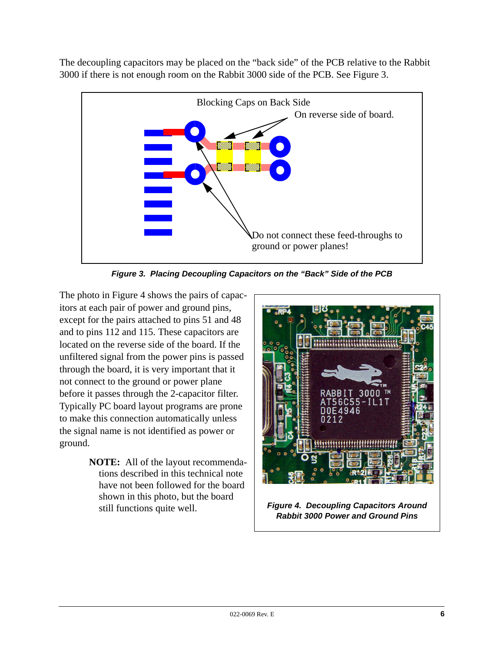The decoupling capacitors may be placed on the "back side" of the PCB relative to the Rabbit 3000 if there is not enough room on the Rabbit 3000 side of the PCB. See [Figure 3](#page-5-0).



*Figure 3. Placing Decoupling Capacitors on the "Back" Side of the PCB*

<span id="page-5-0"></span>The photo in [Figure 4](#page-5-1) shows the pairs of capacitors at each pair of power and ground pins, except for the pairs attached to pins 51 and 48 and to pins 112 and 115. These capacitors are located on the reverse side of the board. If the unfiltered signal from the power pins is passed through the board, it is very important that it not connect to the ground or power plane before it passes through the 2-capacitor filter. Typically PC board layout programs are prone to make this connection automatically unless the signal name is not identified as power or ground.

> <span id="page-5-1"></span>**NOTE:** All of the layout recommendations described in this technical note have not been followed for the board shown in this photo, but the board still functions quite well.

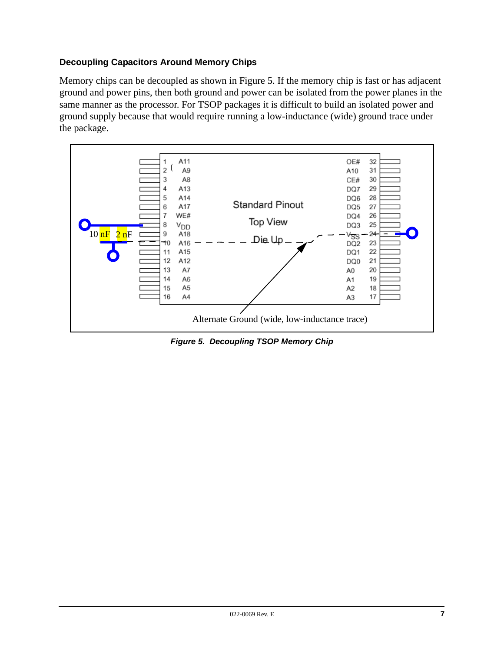#### **Decoupling Capacitors Around Memory Chips**

Memory chips can be decoupled as shown in [Figure 5](#page-6-0). If the memory chip is fast or has adjacent ground and power pins, then both ground and power can be isolated from the power planes in the same manner as the processor. For TSOP packages it is difficult to build an isolated power and ground supply because that would require running a low-inductance (wide) ground trace under the package.



<span id="page-6-0"></span>*Figure 5. Decoupling TSOP Memory Chip*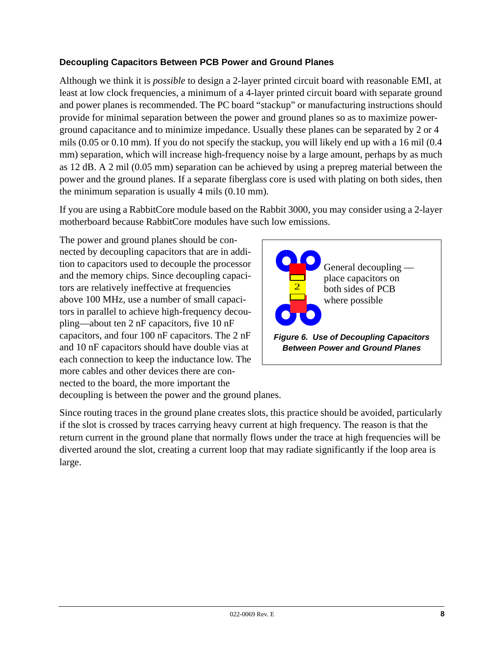#### **Decoupling Capacitors Between PCB Power and Ground Planes**

Although we think it is *possible* to design a 2-layer printed circuit board with reasonable EMI, at least at low clock frequencies, a minimum of a 4-layer printed circuit board with separate ground and power planes is recommended. The PC board "stackup" or manufacturing instructions should provide for minimal separation between the power and ground planes so as to maximize powerground capacitance and to minimize impedance. Usually these planes can be separated by 2 or 4 mils (0.05 or 0.10 mm). If you do not specify the stackup, you will likely end up with a 16 mil (0.4 mm) separation, which will increase high-frequency noise by a large amount, perhaps by as much as 12 dB. A 2 mil (0.05 mm) separation can be achieved by using a prepreg material between the power and the ground planes. If a separate fiberglass core is used with plating on both sides, then the minimum separation is usually 4 mils (0.10 mm).

If you are using a RabbitCore module based on the Rabbit 3000, you may consider using a 2-layer motherboard because RabbitCore modules have such low emissions.

The power and ground planes should be connected by decoupling capacitors that are in addition to capacitors used to decouple the processor and the memory chips. Since decoupling capacitors are relatively ineffective at frequencies above 100 MHz, use a number of small capacitors in parallel to achieve high-frequency decoupling—about ten 2 nF capacitors, five 10 nF capacitors, and four 100 nF capacitors. The 2 nF and 10 nF capacitors should have double vias at each connection to keep the inductance low. The more cables and other devices there are connected to the board, the more important the decoupling is between the power and the ground planes.



Since routing traces in the ground plane creates slots, this practice should be avoided, particularly if the slot is crossed by traces carrying heavy current at high frequency. The reason is that the return current in the ground plane that normally flows under the trace at high frequencies will be diverted around the slot, creating a current loop that may radiate significantly if the loop area is large.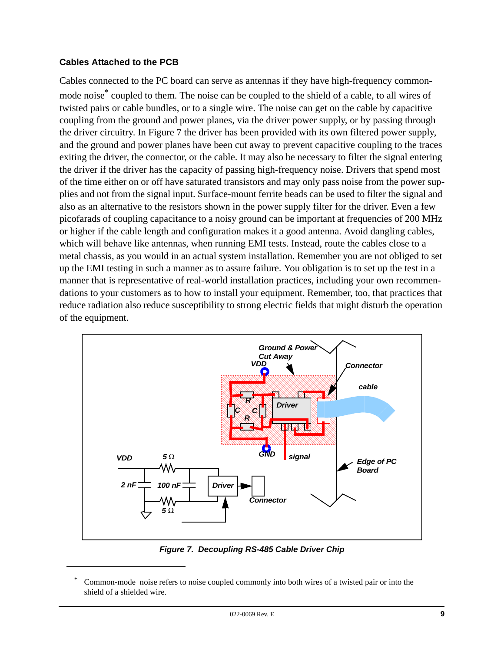#### **Cables Attached to the PCB**

Cables connected to the PC board can serve as antennas if they have high-frequency commonmode noise<sup>\*</sup> coupled to them. The noise can be coupled to the shield of a cable, to all wires of twisted pairs or cable bundles, or to a single wire. The noise can get on the cable by capacitive coupling from the ground and power planes, via the driver power supply, or by passing through the driver circuitry. In [Figure 7](#page-8-0) the driver has been provided with its own filtered power supply, and the ground and power planes have been cut away to prevent capacitive coupling to the traces exiting the driver, the connector, or the cable. It may also be necessary to filter the signal entering the driver if the driver has the capacity of passing high-frequency noise. Drivers that spend most of the time either on or off have saturated transistors and may only pass noise from the power supplies and not from the signal input. Surface-mount ferrite beads can be used to filter the signal and also as an alternative to the resistors shown in the power supply filter for the driver. Even a few picofarads of coupling capacitance to a noisy ground can be important at frequencies of 200 MHz or higher if the cable length and configuration makes it a good antenna. Avoid dangling cables, which will behave like antennas, when running EMI tests. Instead, route the cables close to a metal chassis, as you would in an actual system installation. Remember you are not obliged to set up the EMI testing in such a manner as to assure failure. You obligation is to set up the test in a manner that is representative of real-world installation practices, including your own recommendations to your customers as to how to install your equipment. Remember, too, that practices that reduce radiation also reduce susceptibility to strong electric fields that might disturb the operation of the equipment.



*Figure 7. Decoupling RS-485 Cable Driver Chip*

<span id="page-8-0"></span>Common-mode noise refers to noise coupled commonly into both wires of a twisted pair or into the shield of a shielded wire.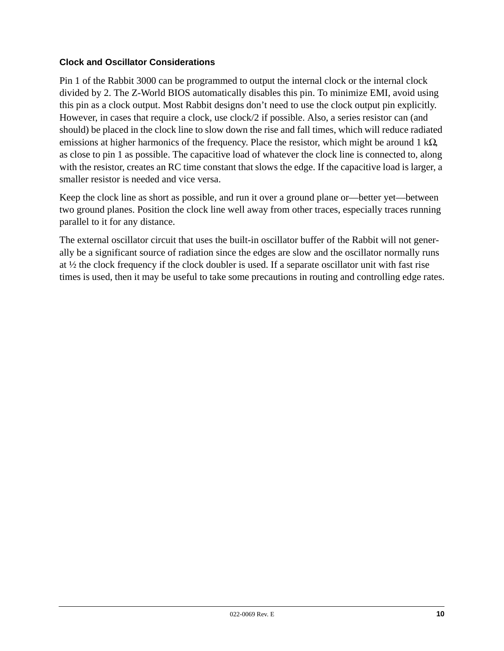#### **Clock and Oscillator Considerations**

Pin 1 of the Rabbit 3000 can be programmed to output the internal clock or the internal clock divided by 2. The Z-World BIOS automatically disables this pin. To minimize EMI, avoid using this pin as a clock output. Most Rabbit designs don't need to use the clock output pin explicitly. However, in cases that require a clock, use clock/2 if possible. Also, a series resistor can (and should) be placed in the clock line to slow down the rise and fall times, which will reduce radiated emissions at higher harmonics of the frequency. Place the resistor, which might be around 1 k $\Omega$ , as close to pin 1 as possible. The capacitive load of whatever the clock line is connected to, along with the resistor, creates an RC time constant that slows the edge. If the capacitive load is larger, a smaller resistor is needed and vice versa.

Keep the clock line as short as possible, and run it over a ground plane or—better yet—between two ground planes. Position the clock line well away from other traces, especially traces running parallel to it for any distance.

The external oscillator circuit that uses the built-in oscillator buffer of the Rabbit will not generally be a significant source of radiation since the edges are slow and the oscillator normally runs at ½ the clock frequency if the clock doubler is used. If a separate oscillator unit with fast rise times is used, then it may be useful to take some precautions in routing and controlling edge rates.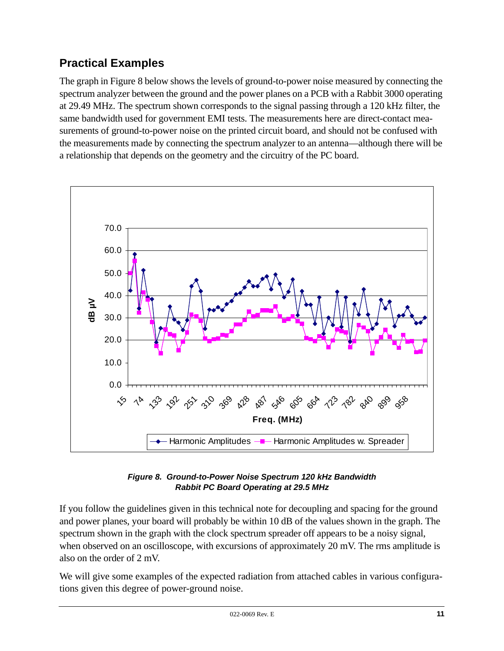# **Practical Examples**

The graph in [Figure 8](#page-10-0) below shows the levels of ground-to-power noise measured by connecting the spectrum analyzer between the ground and the power planes on a PCB with a Rabbit 3000 operating at 29.49 MHz. The spectrum shown corresponds to the signal passing through a 120 kHz filter, the same bandwidth used for government EMI tests. The measurements here are direct-contact measurements of ground-to-power noise on the printed circuit board, and should not be confused with the measurements made by connecting the spectrum analyzer to an antenna—although there will be a relationship that depends on the geometry and the circuitry of the PC board.



#### *Figure 8. Ground-to-Power Noise Spectrum 120 kHz Bandwidth Rabbit PC Board Operating at 29.5 MHz*

<span id="page-10-0"></span>If you follow the guidelines given in this technical note for decoupling and spacing for the ground and power planes, your board will probably be within 10 dB of the values shown in the graph. The spectrum shown in the graph with the clock spectrum spreader off appears to be a noisy signal, when observed on an oscilloscope, with excursions of approximately 20 mV. The rms amplitude is also on the order of 2 mV.

We will give some examples of the expected radiation from attached cables in various configurations given this degree of power-ground noise.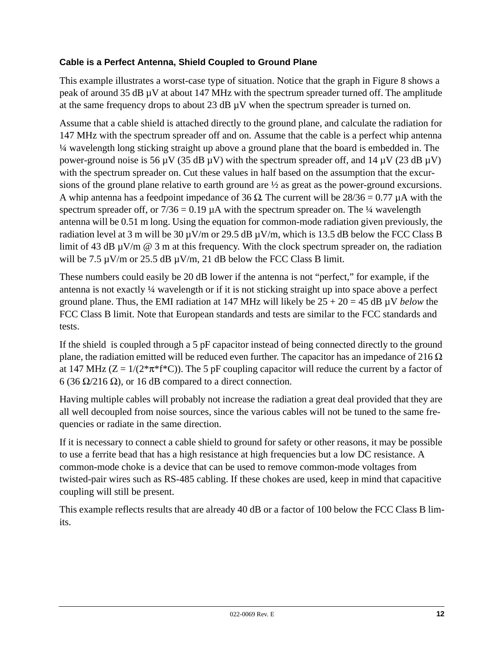#### **Cable is a Perfect Antenna, Shield Coupled to Ground Plane**

This example illustrates a worst-case type of situation. Notice that the graph in [Figure 8](#page-10-0) shows a peak of around 35 dB µV at about 147 MHz with the spectrum spreader turned off. The amplitude at the same frequency drops to about 23 dB µV when the spectrum spreader is turned on.

Assume that a cable shield is attached directly to the ground plane, and calculate the radiation for 147 MHz with the spectrum spreader off and on. Assume that the cable is a perfect whip antenna ¼ wavelength long sticking straight up above a ground plane that the board is embedded in. The power-ground noise is 56  $\mu$ V (35 dB  $\mu$ V) with the spectrum spreader off, and 14  $\mu$ V (23 dB  $\mu$ V) with the spectrum spreader on. Cut these values in half based on the assumption that the excursions of the ground plane relative to earth ground are ½ as great as the power-ground excursions. A whip antenna has a feedpoint impedance of 36  $\Omega$ . The current will be 28/36 = 0.77  $\mu$ A with the spectrum spreader off, or  $7/36 = 0.19$   $\mu$ A with the spectrum spreader on. The  $\frac{1}{4}$  wavelength antenna will be 0.51 m long. Using the equation for common-mode radiation given previously, the radiation level at 3 m will be 30  $\mu$ V/m or 29.5 dB  $\mu$ V/m, which is 13.5 dB below the FCC Class B limit of 43 dB  $\mu$ V/m  $\omega$  3 m at this frequency. With the clock spectrum spreader on, the radiation will be 7.5  $\mu$ V/m or 25.5 dB  $\mu$ V/m, 21 dB below the FCC Class B limit.

These numbers could easily be 20 dB lower if the antenna is not "perfect," for example, if the antenna is not exactly ¼ wavelength or if it is not sticking straight up into space above a perfect ground plane. Thus, the EMI radiation at 147 MHz will likely be 25 + 20 = 45 dB µV *below* the FCC Class B limit. Note that European standards and tests are similar to the FCC standards and tests.

If the shield is coupled through a 5 pF capacitor instead of being connected directly to the ground plane, the radiation emitted will be reduced even further. The capacitor has an impedance of 216  $\Omega$ at 147 MHz ( $Z = 1/(2 \cdot \pi \cdot f \cdot C)$ ). The 5 pF coupling capacitor will reduce the current by a factor of 6 (36 Ω/216 Ω), or 16 dB compared to a direct connection.

Having multiple cables will probably not increase the radiation a great deal provided that they are all well decoupled from noise sources, since the various cables will not be tuned to the same frequencies or radiate in the same direction.

If it is necessary to connect a cable shield to ground for safety or other reasons, it may be possible to use a ferrite bead that has a high resistance at high frequencies but a low DC resistance. A common-mode choke is a device that can be used to remove common-mode voltages from twisted-pair wires such as RS-485 cabling. If these chokes are used, keep in mind that capacitive coupling will still be present.

This example reflects results that are already 40 dB or a factor of 100 below the FCC Class B limits.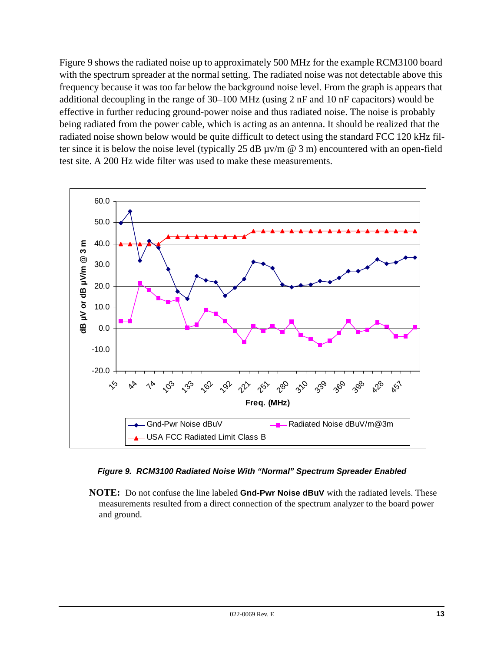[Figure 9](#page-12-0) shows the radiated noise up to approximately 500 MHz for the example RCM3100 board with the spectrum spreader at the normal setting. The radiated noise was not detectable above this frequency because it was too far below the background noise level. From the graph is appears that additional decoupling in the range of 30–100 MHz (using 2 nF and 10 nF capacitors) would be effective in further reducing ground-power noise and thus radiated noise. The noise is probably being radiated from the power cable, which is acting as an antenna. It should be realized that the radiated noise shown below would be quite difficult to detect using the standard FCC 120 kHz filter since it is below the noise level (typically 25 dB  $\mu$ v/m @ 3 m) encountered with an open-field test site. A 200 Hz wide filter was used to make these measurements.



#### *Figure 9. RCM3100 Radiated Noise With "Normal" Spectrum Spreader Enabled*

<span id="page-12-0"></span>**NOTE:** Do not confuse the line labeled **Gnd-Pwr Noise dBuV** with the radiated levels. These measurements resulted from a direct connection of the spectrum analyzer to the board power and ground.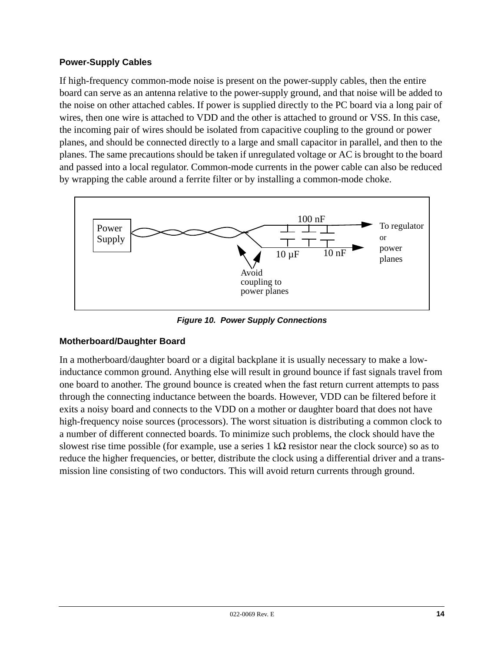#### **Power-Supply Cables**

If high-frequency common-mode noise is present on the power-supply cables, then the entire board can serve as an antenna relative to the power-supply ground, and that noise will be added to the noise on other attached cables. If power is supplied directly to the PC board via a long pair of wires, then one wire is attached to VDD and the other is attached to ground or VSS. In this case, the incoming pair of wires should be isolated from capacitive coupling to the ground or power planes, and should be connected directly to a large and small capacitor in parallel, and then to the planes. The same precautions should be taken if unregulated voltage or AC is brought to the board and passed into a local regulator. Common-mode currents in the power cable can also be reduced by wrapping the cable around a ferrite filter or by installing a common-mode choke.



*Figure 10. Power Supply Connections*

#### <span id="page-13-0"></span>**Motherboard/Daughter Board**

In a motherboard/daughter board or a digital backplane it is usually necessary to make a lowinductance common ground. Anything else will result in ground bounce if fast signals travel from one board to another. The ground bounce is created when the fast return current attempts to pass through the connecting inductance between the boards. However, VDD can be filtered before it exits a noisy board and connects to the VDD on a mother or daughter board that does not have high-frequency noise sources (processors). The worst situation is distributing a common clock to a number of different connected boards. To minimize such problems, the clock should have the slowest rise time possible (for example, use a series 1 k $\Omega$  resistor near the clock source) so as to reduce the higher frequencies, or better, distribute the clock using a differential driver and a transmission line consisting of two conductors. This will avoid return currents through ground.